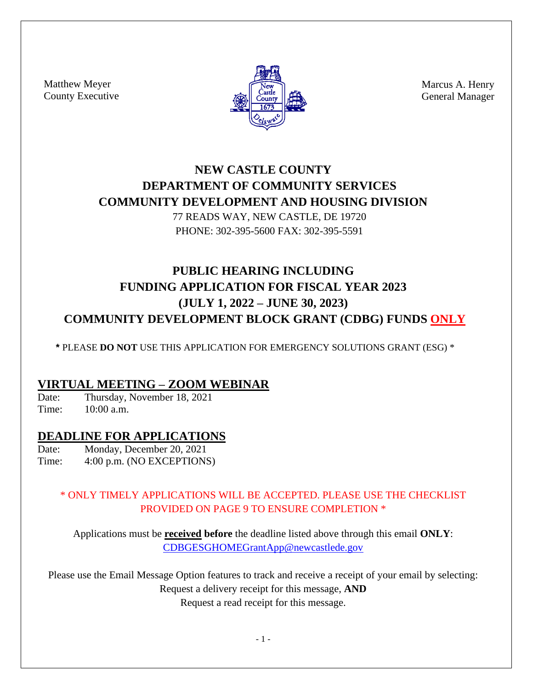Matthew Meyer County Executive



Marcus A. Henry General Manager

# **NEW CASTLE COUNTY DEPARTMENT OF COMMUNITY SERVICES COMMUNITY DEVELOPMENT AND HOUSING DIVISION**

77 READS WAY, NEW CASTLE, DE 19720 PHONE: 302-395-5600 FAX: 302-395-5591

# **PUBLIC HEARING INCLUDING FUNDING APPLICATION FOR FISCAL YEAR 2023 (JULY 1, 2022 – JUNE 30, 2023) COMMUNITY DEVELOPMENT BLOCK GRANT (CDBG) FUNDS ONLY**

**\*** PLEASE **DO NOT** USE THIS APPLICATION FOR EMERGENCY SOLUTIONS GRANT (ESG) \*

### **VIRTUAL MEETING – ZOOM WEBINAR**

Date: Thursday, November 18, 2021<br>Time:  $10:00a$  m  $10:00$  a.m.

### **DEADLINE FOR APPLICATIONS**

Date: Monday, December 20, 2021

Time: 4:00 p.m. (NO EXCEPTIONS)

### \* ONLY TIMELY APPLICATIONS WILL BE ACCEPTED. PLEASE USE THE CHECKLIST PROVIDED ON PAGE 9 TO ENSURE COMPLETION \*

Applications must be **received before** the deadline listed above through this email **ONLY**: [CDBGESGHOMEGrantApp@newcastlede.gov](mailto:CDBGESGHOMEGrantApp@newcastlede.gov)

Please use the Email Message Option features to track and receive a receipt of your email by selecting: Request a delivery receipt for this message, **AND** Request a read receipt for this message.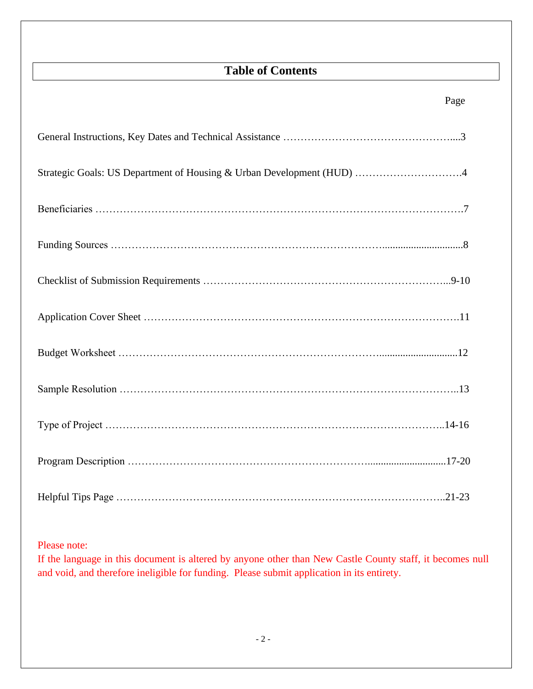# **Table of Contents**

| Strategic Goals: US Department of Housing & Urban Development (HUD) 4 |
|-----------------------------------------------------------------------|
|                                                                       |
|                                                                       |
|                                                                       |
|                                                                       |
|                                                                       |
|                                                                       |
|                                                                       |
|                                                                       |
|                                                                       |

Please note:

If the language in this document is altered by anyone other than New Castle County staff, it becomes null and void, and therefore ineligible for funding. Please submit application in its entirety.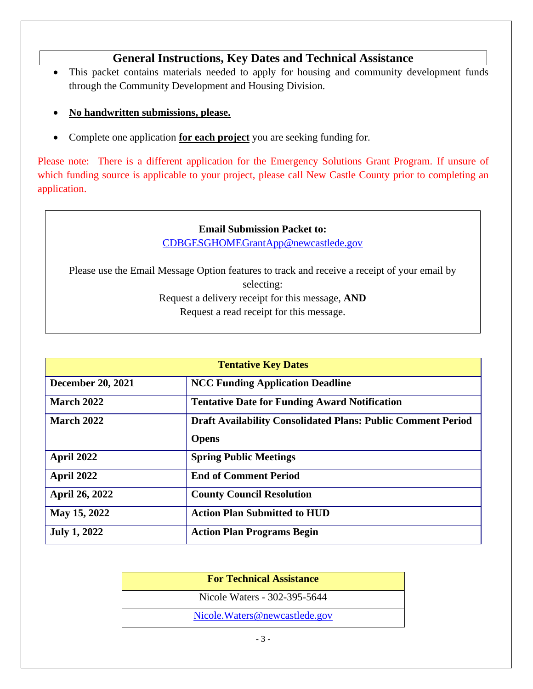### **General Instructions, Key Dates and Technical Assistance**

- This packet contains materials needed to apply for housing and community development funds through the Community Development and Housing Division.
- **No handwritten submissions, please.**
- Complete one application **for each project** you are seeking funding for.

Please note: There is a different application for the Emergency Solutions Grant Program. If unsure of which funding source is applicable to your project, please call New Castle County prior to completing an application.

#### **Email Submission Packet to:**

[CDBGESGHOMEGrantApp@newcastlede.gov](mailto:CDBGESGHOMEGrantApp@newcastlede.gov)

Please use the Email Message Option features to track and receive a receipt of your email by selecting: Request a delivery receipt for this message, **AND**

Request a read receipt for this message.

| <b>Tentative Key Dates</b> |                                                                     |  |  |
|----------------------------|---------------------------------------------------------------------|--|--|
| <b>December 20, 2021</b>   | <b>NCC Funding Application Deadline</b>                             |  |  |
| <b>March 2022</b>          | <b>Tentative Date for Funding Award Notification</b>                |  |  |
| <b>March 2022</b>          | <b>Draft Availability Consolidated Plans: Public Comment Period</b> |  |  |
|                            | <b>Opens</b>                                                        |  |  |
| April 2022                 | <b>Spring Public Meetings</b>                                       |  |  |
| April 2022                 | <b>End of Comment Period</b>                                        |  |  |
| April 26, 2022             | <b>County Council Resolution</b>                                    |  |  |
| May 15, 2022               | <b>Action Plan Submitted to HUD</b>                                 |  |  |
| <b>July 1, 2022</b>        | <b>Action Plan Programs Begin</b>                                   |  |  |

| <b>For Technical Assistance</b> |  |
|---------------------------------|--|
| Nicole Waters - 302-395-5644    |  |
| Nicole. Waters@newcastlede.gov  |  |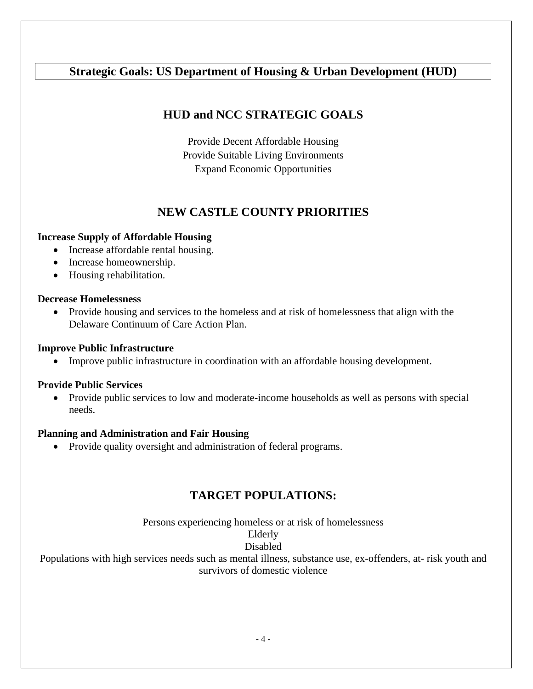### **Strategic Goals: US Department of Housing & Urban Development (HUD)**

### **HUD and NCC STRATEGIC GOALS**

Provide Decent Affordable Housing Provide Suitable Living Environments Expand Economic Opportunities

### **NEW CASTLE COUNTY PRIORITIES**

#### **Increase Supply of Affordable Housing**

- Increase affordable rental housing.
- Increase homeownership.
- Housing rehabilitation.

#### **Decrease Homelessness**

• Provide housing and services to the homeless and at risk of homelessness that align with the Delaware Continuum of Care Action Plan.

#### **Improve Public Infrastructure**

• Improve public infrastructure in coordination with an affordable housing development.

#### **Provide Public Services**

• Provide public services to low and moderate-income households as well as persons with special needs.

#### **Planning and Administration and Fair Housing**

• Provide quality oversight and administration of federal programs.

### **TARGET POPULATIONS:**

Persons experiencing homeless or at risk of homelessness

#### Elderly

### Disabled

Populations with high services needs such as mental illness, substance use, ex-offenders, at- risk youth and survivors of domestic violence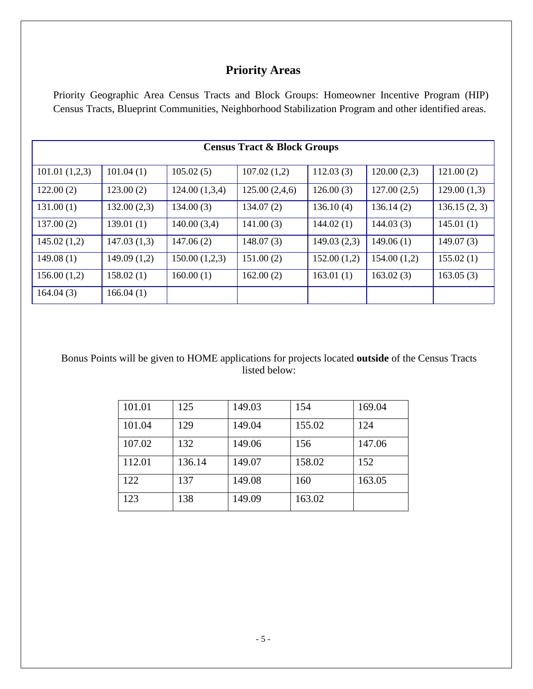### **Priority Areas**

Priority Geographic Area Census Tracts and Block Groups: Homeowner Incentive Program (HIP) Census Tracts, Blueprint Communities, Neighborhood Stabilization Program and other identified areas.

| <b>Census Tract &amp; Block Groups</b> |              |               |               |             |             |              |
|----------------------------------------|--------------|---------------|---------------|-------------|-------------|--------------|
| 101.01(1,2,3)                          | 101.04(1)    | 105.02(5)     | 107.02(1,2)   | 112.03(3)   | 120.00(2,3) | 121.00(2)    |
| 122.00(2)                              | 123.00(2)    | 124.00(1,3,4) | 125.00(2,4,6) | 126.00(3)   | 127.00(2,5) | 129.00(1,3)  |
| 131.00(1)                              | 132.00(2,3)  | 134.00(3)     | 134.07(2)     | 136.10(4)   | 136.14(2)   | 136.15(2, 3) |
| 137.00(2)                              | 139.01(1)    | 140.00(3,4)   | 141.00(3)     | 144.02(1)   | 144.03(3)   | 145.01(1)    |
| 145.02(1,2)                            | 147.03(1,3)  | 147.06(2)     | 148.07(3)     | 149.03(2,3) | 149.06(1)   | 149.07(3)    |
| 149.08(1)                              | 149.09 (1,2) | 150.00(1,2,3) | 151.00(2)     | 152.00(1,2) | 154.00(1,2) | 155.02(1)    |
| 156.00(1,2)                            | 158.02(1)    | 160.00(1)     | 162.00(2)     | 163.01(1)   | 163.02(3)   | 163.05(3)    |
| 164.04(3)                              | 166.04(1)    |               |               |             |             |              |

Bonus Points will be given to HOME applications for projects located **outside** of the Census Tracts listed below:

| 101.01 | 125    | 149.03 | 154    | 169.04 |
|--------|--------|--------|--------|--------|
| 101.04 | 129    | 149.04 | 155.02 | 124    |
| 107.02 | 132    | 149.06 | 156    | 147.06 |
| 112.01 | 136.14 | 149.07 | 158.02 | 152    |
| 122    | 137    | 149.08 | 160    | 163.05 |
| 123    | 138    | 149.09 | 163.02 |        |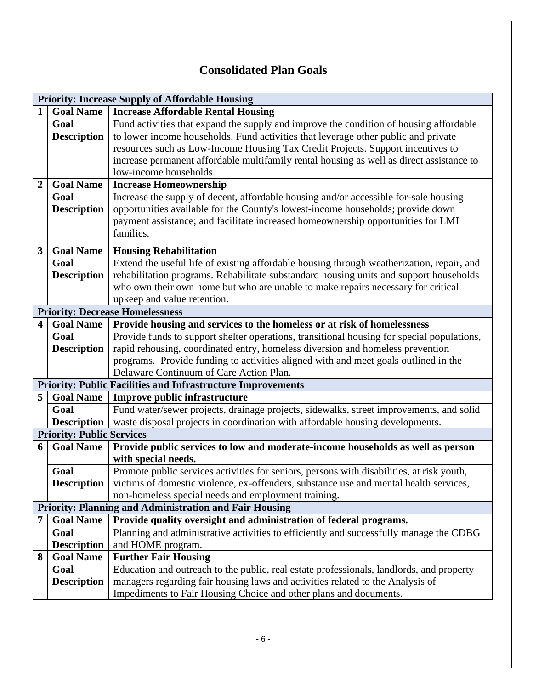## **Consolidated Plan Goals**

|                         | <b>Priority: Increase Supply of Affordable Housing</b> |                                                                                            |  |  |  |
|-------------------------|--------------------------------------------------------|--------------------------------------------------------------------------------------------|--|--|--|
| $\mathbf{1}$            | <b>Goal Name</b>                                       | <b>Increase Affordable Rental Housing</b>                                                  |  |  |  |
|                         | Goal                                                   | Fund activities that expand the supply and improve the condition of housing affordable     |  |  |  |
|                         | <b>Description</b>                                     | to lower income households. Fund activities that leverage other public and private         |  |  |  |
|                         |                                                        | resources such as Low-Income Housing Tax Credit Projects. Support incentives to            |  |  |  |
|                         |                                                        | increase permanent affordable multifamily rental housing as well as direct assistance to   |  |  |  |
|                         |                                                        | low-income households.                                                                     |  |  |  |
| $\overline{2}$          | <b>Goal Name</b>                                       | <b>Increase Homeownership</b>                                                              |  |  |  |
|                         | Goal                                                   | Increase the supply of decent, affordable housing and/or accessible for-sale housing       |  |  |  |
|                         | <b>Description</b>                                     | opportunities available for the County's lowest-income households; provide down            |  |  |  |
|                         |                                                        | payment assistance; and facilitate increased homeownership opportunities for LMI           |  |  |  |
|                         |                                                        | families.                                                                                  |  |  |  |
| $\overline{\mathbf{3}}$ | <b>Goal Name</b>                                       | <b>Housing Rehabilitation</b>                                                              |  |  |  |
|                         | Goal                                                   | Extend the useful life of existing affordable housing through weatherization, repair, and  |  |  |  |
|                         | <b>Description</b>                                     | rehabilitation programs. Rehabilitate substandard housing units and support households     |  |  |  |
|                         |                                                        | who own their own home but who are unable to make repairs necessary for critical           |  |  |  |
|                         |                                                        | upkeep and value retention.                                                                |  |  |  |
|                         |                                                        | <b>Priority: Decrease Homelessness</b>                                                     |  |  |  |
| $\overline{\mathbf{4}}$ | <b>Goal Name</b>                                       | Provide housing and services to the homeless or at risk of homelessness                    |  |  |  |
|                         | Goal                                                   | Provide funds to support shelter operations, transitional housing for special populations, |  |  |  |
|                         | <b>Description</b>                                     | rapid rehousing, coordinated entry, homeless diversion and homeless prevention             |  |  |  |
|                         |                                                        | programs. Provide funding to activities aligned with and meet goals outlined in the        |  |  |  |
|                         |                                                        | Delaware Continuum of Care Action Plan.                                                    |  |  |  |
|                         |                                                        | <b>Priority: Public Facilities and Infrastructure Improvements</b>                         |  |  |  |
| 5                       | <b>Goal Name</b>                                       | <b>Improve public infrastructure</b>                                                       |  |  |  |
|                         | Goal                                                   | Fund water/sewer projects, drainage projects, sidewalks, street improvements, and solid    |  |  |  |
|                         | <b>Description</b>                                     | waste disposal projects in coordination with affordable housing developments.              |  |  |  |
|                         | <b>Priority: Public Services</b>                       |                                                                                            |  |  |  |
| 6                       | <b>Goal Name</b>                                       | Provide public services to low and moderate-income households as well as person            |  |  |  |
|                         |                                                        | with special needs.                                                                        |  |  |  |
|                         | Goal                                                   | Promote public services activities for seniors, persons with disabilities, at risk youth,  |  |  |  |
|                         | <b>Description</b>                                     | victims of domestic violence, ex-offenders, substance use and mental health services,      |  |  |  |
|                         |                                                        | non-homeless special needs and employment training.                                        |  |  |  |
|                         |                                                        | <b>Priority: Planning and Administration and Fair Housing</b>                              |  |  |  |
| 7                       | <b>Goal Name</b>                                       | Provide quality oversight and administration of federal programs.                          |  |  |  |
|                         | Goal                                                   | Planning and administrative activities to efficiently and successfully manage the CDBG     |  |  |  |
|                         | <b>Description</b>                                     | and HOME program.                                                                          |  |  |  |
| 8                       | <b>Goal Name</b>                                       | <b>Further Fair Housing</b>                                                                |  |  |  |
|                         | Goal                                                   | Education and outreach to the public, real estate professionals, landlords, and property   |  |  |  |
|                         | <b>Description</b>                                     | managers regarding fair housing laws and activities related to the Analysis of             |  |  |  |
|                         |                                                        | Impediments to Fair Housing Choice and other plans and documents.                          |  |  |  |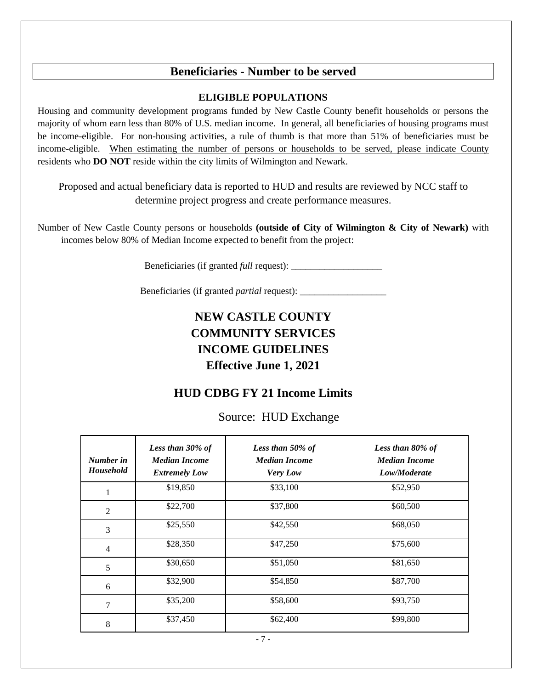### **Beneficiaries - Number to be served**

#### **ELIGIBLE POPULATIONS**

Housing and community development programs funded by New Castle County benefit households or persons the majority of whom earn less than 80% of U.S. median income. In general, all beneficiaries of housing programs must be income-eligible. For non-housing activities, a rule of thumb is that more than 51% of beneficiaries must be income-eligible. When estimating the number of persons or households to be served, please indicate County residents who **DO NOT** reside within the city limits of Wilmington and Newark.

Proposed and actual beneficiary data is reported to HUD and results are reviewed by NCC staff to determine project progress and create performance measures.

Number of New Castle County persons or households **(outside of City of Wilmington & City of Newark)** with incomes below 80% of Median Income expected to benefit from the project:

Beneficiaries (if granted *full* request): \_\_\_\_\_\_\_\_\_\_\_\_\_\_\_\_\_\_\_

Beneficiaries (if granted *partial* request): \_\_\_\_\_\_\_\_\_\_\_\_\_\_\_\_\_\_

# **NEW CASTLE COUNTY COMMUNITY SERVICES INCOME GUIDELINES Effective June 1, 2021**

### **HUD CDBG FY 21 Income Limits**

Source: HUD Exchange

| Number in<br><b>Household</b> | Less than 30% of<br><b>Median Income</b><br><b>Extremely Low</b> | Less than 50% of<br><b>Median Income</b><br>Very Low | Less than 80% of<br><b>Median Income</b><br>Low/Moderate |
|-------------------------------|------------------------------------------------------------------|------------------------------------------------------|----------------------------------------------------------|
| 1                             | \$19,850                                                         | \$33,100                                             | \$52,950                                                 |
| $\overline{2}$                | \$22,700                                                         | \$37,800                                             | \$60,500                                                 |
| 3                             | \$25,550                                                         | \$42,550                                             | \$68,050                                                 |
| $\overline{4}$                | \$28,350                                                         | \$47,250                                             | \$75,600                                                 |
| 5                             | \$30,650                                                         | \$51,050                                             | \$81,650                                                 |
| 6                             | \$32,900                                                         | \$54,850                                             | \$87,700                                                 |
| 7                             | \$35,200                                                         | \$58,600                                             | \$93,750                                                 |
| 8                             | \$37,450                                                         | \$62,400                                             | \$99,800                                                 |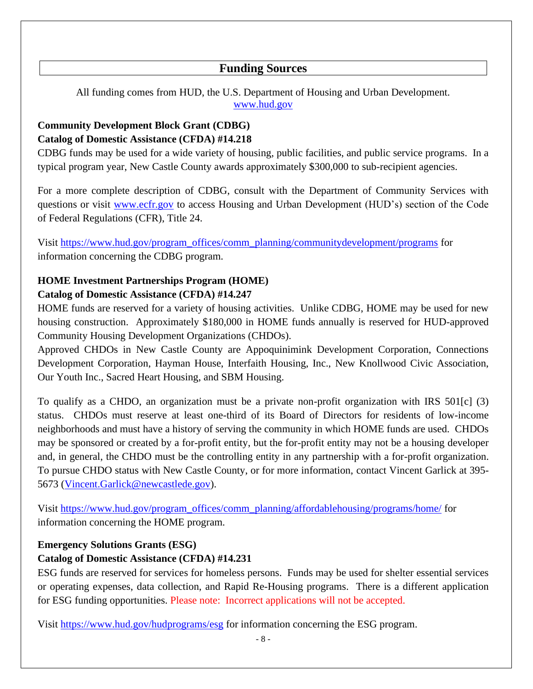### **Funding Sources**

All funding comes from HUD, the U.S. Department of Housing and Urban Development. [www.hud.gov](http://www.hud.gov/)

### **Community Development Block Grant (CDBG) Catalog of Domestic Assistance (CFDA) #14.218**

CDBG funds may be used for a wide variety of housing, public facilities, and public service programs. In a typical program year, New Castle County awards approximately \$300,000 to sub-recipient agencies.

For a more complete description of CDBG, consult with the Department of Community Services with questions or visit [www.ecfr.gov](http://www.ecfr.gov/) to access Housing and Urban Development (HUD's) section of the Code of Federal Regulations (CFR), Title 24.

Visit [https://www.hud.gov/program\\_offices/comm\\_planning/communitydevelopment/programs](https://www.hud.gov/program_offices/comm_planning/communitydevelopment/programs) for information concerning the CDBG program.

### **HOME Investment Partnerships Program (HOME) Catalog of Domestic Assistance (CFDA) #14.247**

HOME funds are reserved for a variety of housing activities. Unlike CDBG, HOME may be used for new housing construction. Approximately \$180,000 in HOME funds annually is reserved for HUD-approved Community Housing Development Organizations (CHDOs).

Approved CHDOs in New Castle County are Appoquinimink Development Corporation, Connections Development Corporation, Hayman House, Interfaith Housing, Inc., New Knollwood Civic Association, Our Youth Inc., Sacred Heart Housing, and SBM Housing.

To qualify as a CHDO, an organization must be a private non-profit organization with IRS 501[c] (3) status. CHDOs must reserve at least one-third of its Board of Directors for residents of low-income neighborhoods and must have a history of serving the community in which HOME funds are used. CHDOs may be sponsored or created by a for-profit entity, but the for-profit entity may not be a housing developer and, in general, the CHDO must be the controlling entity in any partnership with a for-profit organization. To pursue CHDO status with New Castle County, or for more information, contact Vincent Garlick at 395- 5673 [\(Vincent.Garlick@newcastlede.gov\)](mailto:Vincent.Garlick@newcastlede.gov).

Visit [https://www.hud.gov/program\\_offices/comm\\_planning/affordablehousing/programs/home/](https://www.hud.gov/program_offices/comm_planning/affordablehousing/programs/home/) for information concerning the HOME program.

### **Emergency Solutions Grants (ESG)**

### **Catalog of Domestic Assistance (CFDA) #14.231**

ESG funds are reserved for services for homeless persons. Funds may be used for shelter essential services or operating expenses, data collection, and Rapid Re-Housing programs. There is a different application for ESG funding opportunities. Please note: Incorrect applications will not be accepted.

Visit<https://www.hud.gov/hudprograms/esg> for information concerning the ESG program.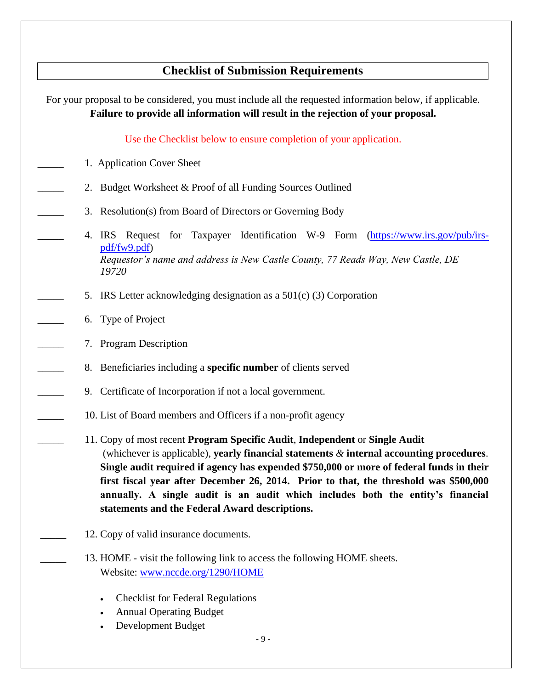# **Checklist of Submission Requirements**

| For your proposal to be considered, you must include all the requested information below, if applicable.<br>Failure to provide all information will result in the rejection of your proposal.                                                                                                                                                                                                                                                                                                        |
|------------------------------------------------------------------------------------------------------------------------------------------------------------------------------------------------------------------------------------------------------------------------------------------------------------------------------------------------------------------------------------------------------------------------------------------------------------------------------------------------------|
| Use the Checklist below to ensure completion of your application.                                                                                                                                                                                                                                                                                                                                                                                                                                    |
| 1. Application Cover Sheet                                                                                                                                                                                                                                                                                                                                                                                                                                                                           |
| Budget Worksheet & Proof of all Funding Sources Outlined<br>2.                                                                                                                                                                                                                                                                                                                                                                                                                                       |
| Resolution(s) from Board of Directors or Governing Body<br>3.                                                                                                                                                                                                                                                                                                                                                                                                                                        |
| IRS Request for Taxpayer Identification W-9 Form<br>(https://www.irs.gov/pub/irs-<br>4.<br>pdf/fw9.pdf)<br>Requestor's name and address is New Castle County, 77 Reads Way, New Castle, DE<br>19720                                                                                                                                                                                                                                                                                                  |
| IRS Letter acknowledging designation as a $501(c)$ (3) Corporation<br>5.                                                                                                                                                                                                                                                                                                                                                                                                                             |
| Type of Project<br>6.                                                                                                                                                                                                                                                                                                                                                                                                                                                                                |
| 7. Program Description                                                                                                                                                                                                                                                                                                                                                                                                                                                                               |
| 8. Beneficiaries including a specific number of clients served                                                                                                                                                                                                                                                                                                                                                                                                                                       |
| 9. Certificate of Incorporation if not a local government.                                                                                                                                                                                                                                                                                                                                                                                                                                           |
| 10. List of Board members and Officers if a non-profit agency                                                                                                                                                                                                                                                                                                                                                                                                                                        |
| 11. Copy of most recent Program Specific Audit, Independent or Single Audit<br>(whichever is applicable), yearly financial statements $\&$ internal accounting procedures.<br>Single audit required if agency has expended \$750,000 or more of federal funds in their<br>first fiscal year after December 26, 2014. Prior to that, the threshold was \$500,000<br>annually. A single audit is an audit which includes both the entity's financial<br>statements and the Federal Award descriptions. |
| 12. Copy of valid insurance documents.                                                                                                                                                                                                                                                                                                                                                                                                                                                               |
| 13. HOME - visit the following link to access the following HOME sheets.<br>Website: www.nccde.org/1290/HOME                                                                                                                                                                                                                                                                                                                                                                                         |
| <b>Checklist for Federal Regulations</b>                                                                                                                                                                                                                                                                                                                                                                                                                                                             |

- Annual Operating Budget
- Development Budget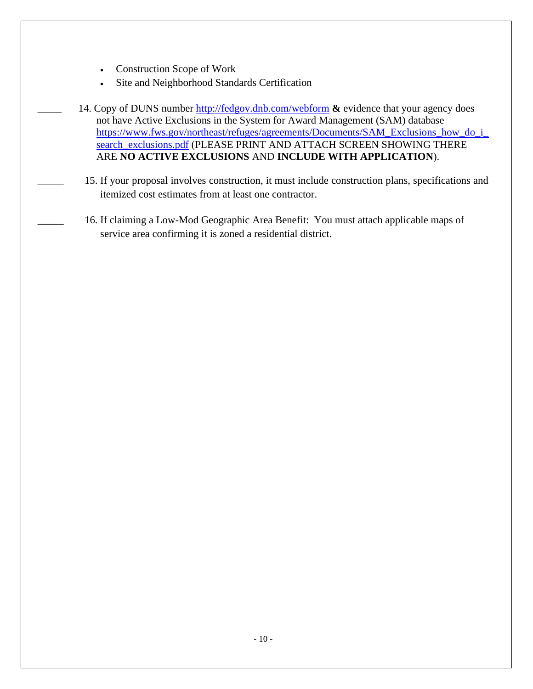- Construction Scope of Work
- Site and Neighborhood Standards Certification
- 14. Copy of DUNS number <http://fedgov.dnb.com/webform>  $\&$  evidence that your agency does not have Active Exclusions in the System for Award Management (SAM) database [https://www.fws.gov/northeast/refuges/agreements/Documents/SAM\\_Exclusions\\_how\\_do\\_i\\_](https://urldefense.com/v3/__https:/www.fws.gov/northeast/refuges/agreements/Documents/SAM_Exclusions_how_do_i_search_exclusions.pdf__;!!PwYEOvDHqczHRoU!BVGaBUJMlKqv0BSCzP_wIChapTD5Qz4-d0wnKnc-I9zFQJz3Kj3gL49VcsWvxX-ErZrrQ8PZng$) [search\\_exclusions.pdf](https://urldefense.com/v3/__https:/www.fws.gov/northeast/refuges/agreements/Documents/SAM_Exclusions_how_do_i_search_exclusions.pdf__;!!PwYEOvDHqczHRoU!BVGaBUJMlKqv0BSCzP_wIChapTD5Qz4-d0wnKnc-I9zFQJz3Kj3gL49VcsWvxX-ErZrrQ8PZng$) (PLEASE PRINT AND ATTACH SCREEN SHOWING THERE ARE **NO ACTIVE EXCLUSIONS** AND **INCLUDE WITH APPLICATION**).
- 15. If your proposal involves construction, it must include construction plans, specifications and itemized cost estimates from at least one contractor.
- 16. If claiming a Low-Mod Geographic Area Benefit: You must attach applicable maps of service area confirming it is zoned a residential district.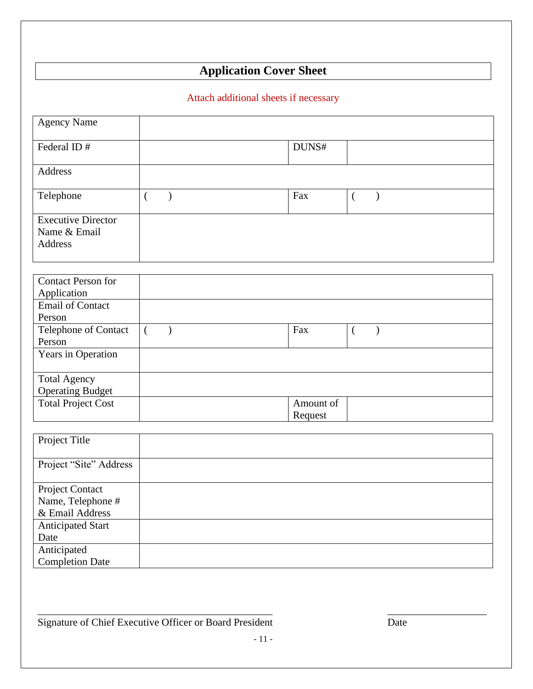# **Application Cover Sheet**

### Attach additional sheets if necessary

| <b>Agency Name</b>                                                                          |                                   |                                  |
|---------------------------------------------------------------------------------------------|-----------------------------------|----------------------------------|
| Federal ID#                                                                                 |                                   | DUNS#                            |
| Address                                                                                     |                                   |                                  |
| Telephone                                                                                   | $\left($<br>$\mathcal{E}$         | Fax<br>$\mathcal{E}$<br>€        |
| <b>Executive Director</b><br>Name & Email<br>Address                                        |                                   |                                  |
| <b>Contact Person for</b><br>Application                                                    |                                   |                                  |
| <b>Email of Contact</b><br>Person                                                           |                                   |                                  |
| Telephone of Contact<br>Person                                                              | $\overline{(\ }$<br>$\mathcal{E}$ | Fax<br>$\left($<br>$\mathcal{E}$ |
| Years in Operation                                                                          |                                   |                                  |
| <b>Total Agency</b><br><b>Operating Budget</b>                                              |                                   |                                  |
| <b>Total Project Cost</b>                                                                   |                                   | Amount of<br>Request             |
| Project Title                                                                               |                                   |                                  |
| Project "Site" Address                                                                      |                                   |                                  |
| Project Contact<br>Name, Telephone #<br>& Email Address<br><b>Anticipated Start</b><br>Date |                                   |                                  |
| Anticipated<br><b>Completion Date</b>                                                       |                                   |                                  |

 $\overline{\phantom{a}}$  , and the contribution of the contribution of the contribution of the contribution of the contribution of the contribution of the contribution of the contribution of the contribution of the contribution of the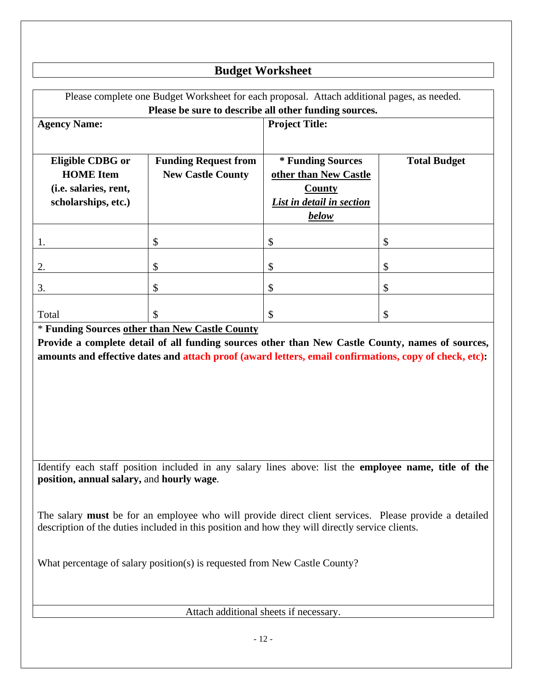### **Budget Worksheet**

| Please complete one Budget Worksheet for each proposal. Attach additional pages, as needed.<br>Please be sure to describe all other funding sources.                   |                                                         |                                                                                            |                     |  |
|------------------------------------------------------------------------------------------------------------------------------------------------------------------------|---------------------------------------------------------|--------------------------------------------------------------------------------------------|---------------------|--|
| <b>Agency Name:</b>                                                                                                                                                    |                                                         | <b>Project Title:</b>                                                                      |                     |  |
| Eligible CDBG or<br><b>HOME</b> Item<br>(i.e. salaries, rent,<br>scholarships, etc.)                                                                                   | <b>Funding Request from</b><br><b>New Castle County</b> | * Funding Sources<br>other than New Castle<br>County<br>List in detail in section<br>below | <b>Total Budget</b> |  |
| 1.                                                                                                                                                                     | \$                                                      | \$                                                                                         | \$                  |  |
| 2.                                                                                                                                                                     | \$                                                      | \$                                                                                         | \$                  |  |
| 3.                                                                                                                                                                     | \$                                                      | \$                                                                                         | \$                  |  |
| Total                                                                                                                                                                  | \$                                                      | \$                                                                                         | \$                  |  |
| * Funding Sources other than New Castle County<br><u>is a second in the second in the second in the second in the second in the second in the second in the second</u> |                                                         |                                                                                            |                     |  |

**Provide a complete detail of all funding sources other than New Castle County, names of sources, amounts and effective dates and attach proof (award letters, email confirmations, copy of check, etc):**

Identify each staff position included in any salary lines above: list the **employee name, title of the position, annual salary,** and **hourly wage**.

The salary **must** be for an employee who will provide direct client services. Please provide a detailed description of the duties included in this position and how they will directly service clients.

What percentage of salary position(s) is requested from New Castle County?

Attach additional sheets if necessary.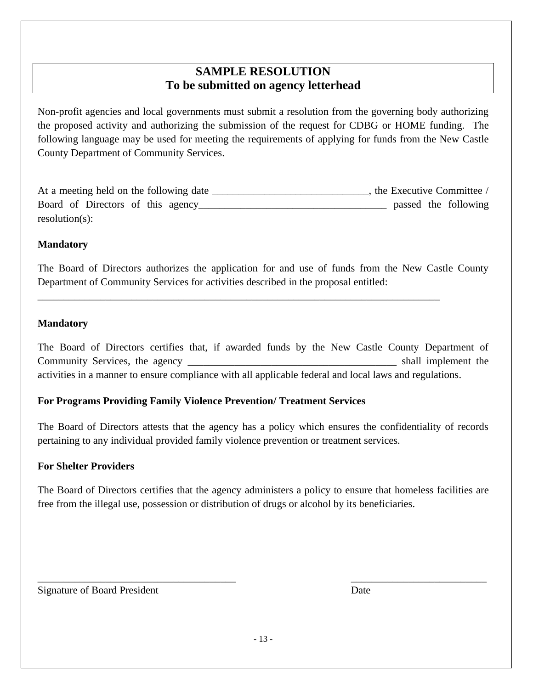### **SAMPLE RESOLUTION To be submitted on agency letterhead**

Non-profit agencies and local governments must submit a resolution from the governing body authorizing the proposed activity and authorizing the submission of the request for CDBG or HOME funding. The following language may be used for meeting the requirements of applying for funds from the New Castle County Department of Community Services.

| At a meeting held on the following date | the Executive Committee / |
|-----------------------------------------|---------------------------|
| Board of Directors of this agency       | passed the following      |
| $resolution(s)$ :                       |                           |

#### **Mandatory**

The Board of Directors authorizes the application for and use of funds from the New Castle County Department of Community Services for activities described in the proposal entitled:

\_\_\_\_\_\_\_\_\_\_\_\_\_\_\_\_\_\_\_\_\_\_\_\_\_\_\_\_\_\_\_\_\_\_\_\_\_\_\_\_\_\_\_\_\_\_\_\_\_\_\_\_\_\_\_\_\_\_\_\_\_\_\_\_\_\_\_\_\_\_\_\_\_\_\_\_\_

#### **Mandatory**

The Board of Directors certifies that, if awarded funds by the New Castle County Department of Community Services, the agency \_\_\_\_\_\_\_\_\_\_\_\_\_\_\_\_\_\_\_\_\_\_\_\_\_\_\_\_\_\_\_\_\_\_\_\_\_\_\_\_ shall implement the activities in a manner to ensure compliance with all applicable federal and local laws and regulations.

#### **For Programs Providing Family Violence Prevention/ Treatment Services**

The Board of Directors attests that the agency has a policy which ensures the confidentiality of records pertaining to any individual provided family violence prevention or treatment services.

#### **For Shelter Providers**

The Board of Directors certifies that the agency administers a policy to ensure that homeless facilities are free from the illegal use, possession or distribution of drugs or alcohol by its beneficiaries.

Signature of Board President **Date** Date Date **Date** 

\_\_\_\_\_\_\_\_\_\_\_\_\_\_\_\_\_\_\_\_\_\_\_\_\_\_\_\_\_\_\_\_\_\_\_\_\_\_ \_\_\_\_\_\_\_\_\_\_\_\_\_\_\_\_\_\_\_\_\_\_\_\_\_\_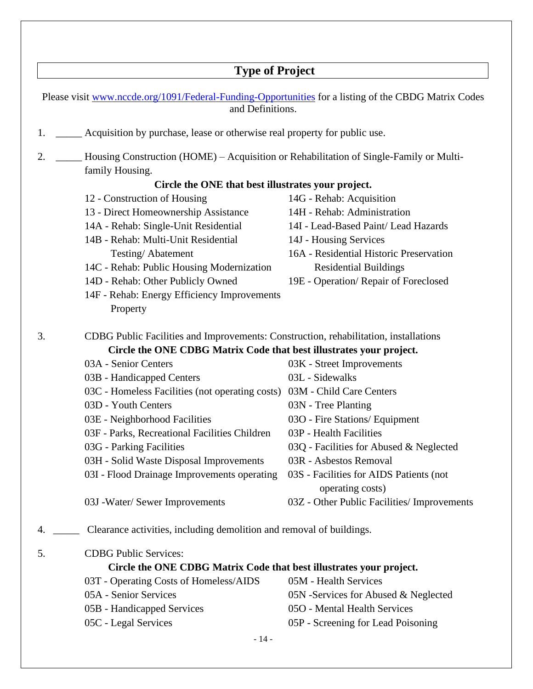# **Type of Project**

|    | Please visit www.nccde.org/1091/Federal-Funding-Opportunities for a listing of the CBDG Matrix Codes<br>and Definitions. |                                             |  |
|----|--------------------------------------------------------------------------------------------------------------------------|---------------------------------------------|--|
| 1. | Acquisition by purchase, lease or otherwise real property for public use.                                                |                                             |  |
| 2. | Housing Construction (HOME) – Acquisition or Rehabilitation of Single-Family or Multi-<br>family Housing.                |                                             |  |
|    | Circle the ONE that best illustrates your project.                                                                       |                                             |  |
|    | 12 - Construction of Housing                                                                                             | 14G - Rehab: Acquisition                    |  |
|    | 13 - Direct Homeownership Assistance                                                                                     | 14H - Rehab: Administration                 |  |
|    | 14A - Rehab: Single-Unit Residential                                                                                     | 14I - Lead-Based Paint/ Lead Hazards        |  |
|    | 14B - Rehab: Multi-Unit Residential                                                                                      | 14J - Housing Services                      |  |
|    | Testing/Abatement                                                                                                        | 16A - Residential Historic Preservation     |  |
|    | 14C - Rehab: Public Housing Modernization                                                                                | <b>Residential Buildings</b>                |  |
|    | 14D - Rehab: Other Publicly Owned                                                                                        | 19E - Operation/ Repair of Foreclosed       |  |
|    | 14F - Rehab: Energy Efficiency Improvements                                                                              |                                             |  |
|    | Property                                                                                                                 |                                             |  |
| 3. | CDBG Public Facilities and Improvements: Construction, rehabilitation, installations                                     |                                             |  |
|    | Circle the ONE CDBG Matrix Code that best illustrates your project.                                                      |                                             |  |
|    | 03A - Senior Centers                                                                                                     | 03K - Street Improvements                   |  |
|    | 03B - Handicapped Centers                                                                                                | 03L - Sidewalks                             |  |
|    | 03C - Homeless Facilities (not operating costs)                                                                          | 03M - Child Care Centers                    |  |
|    | 03D - Youth Centers                                                                                                      | 03N - Tree Planting                         |  |
|    | 03E - Neighborhood Facilities                                                                                            | 03O - Fire Stations/ Equipment              |  |
|    | 03F - Parks, Recreational Facilities Children                                                                            | 03P - Health Facilities                     |  |
|    | 03G - Parking Facilities                                                                                                 | 03Q - Facilities for Abused & Neglected     |  |
|    | 03H - Solid Waste Disposal Improvements                                                                                  | 03R - Asbestos Removal                      |  |
|    | 03I - Flood Drainage Improvements operating 03S - Facilities for AIDS Patients (not                                      | operating costs)                            |  |
|    | 03J -Water/ Sewer Improvements                                                                                           | 03Z - Other Public Facilities/ Improvements |  |
| 4. | Clearance activities, including demolition and removal of buildings.                                                     |                                             |  |
| 5. | <b>CDBG</b> Public Services:                                                                                             |                                             |  |
|    | Circle the ONE CDBG Matrix Code that best illustrates your project.                                                      |                                             |  |
|    | 03T - Operating Costs of Homeless/AIDS                                                                                   | 05M - Health Services                       |  |
|    | 05A - Senior Services                                                                                                    | 05N -Services for Abused & Neglected        |  |
|    | 05B - Handicapped Services                                                                                               | 05O - Mental Health Services                |  |
|    | 05C - Legal Services                                                                                                     | 05P - Screening for Lead Poisoning          |  |
|    | $-14-$                                                                                                                   |                                             |  |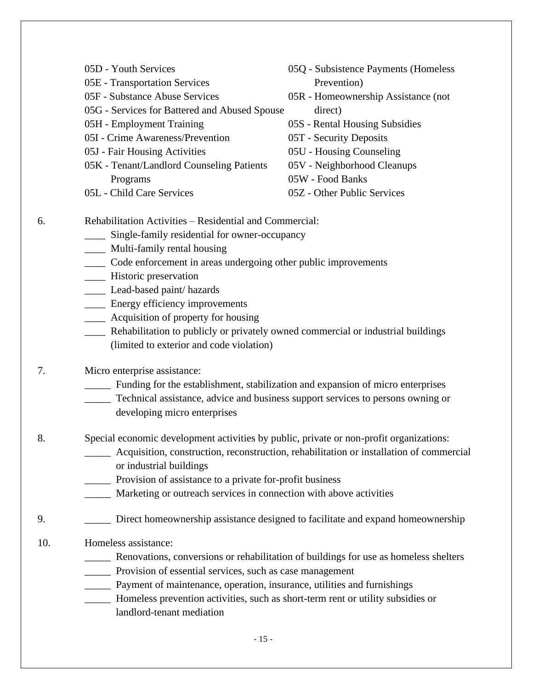|     | 05D - Youth Services                                                                     | 05Q - Subsistence Payments (Homeless                                            |  |  |  |
|-----|------------------------------------------------------------------------------------------|---------------------------------------------------------------------------------|--|--|--|
|     | 05E - Transportation Services                                                            | Prevention)                                                                     |  |  |  |
|     | 05F - Substance Abuse Services                                                           | 05R - Homeownership Assistance (not                                             |  |  |  |
|     | 05G - Services for Battered and Abused Spouse                                            | direct)                                                                         |  |  |  |
|     | 05H - Employment Training                                                                | 05S - Rental Housing Subsidies                                                  |  |  |  |
|     | 05I - Crime Awareness/Prevention                                                         | 05T - Security Deposits                                                         |  |  |  |
|     | 05J - Fair Housing Activities                                                            | 05U - Housing Counseling                                                        |  |  |  |
|     | 05K - Tenant/Landlord Counseling Patients                                                | 05V - Neighborhood Cleanups                                                     |  |  |  |
|     | Programs                                                                                 | 05W - Food Banks                                                                |  |  |  |
|     | 05L - Child Care Services                                                                | 05Z - Other Public Services                                                     |  |  |  |
| 6.  | Rehabilitation Activities - Residential and Commercial:                                  |                                                                                 |  |  |  |
|     | Single-family residential for owner-occupancy                                            |                                                                                 |  |  |  |
|     | Multi-family rental housing<br>$\frac{1}{1}$                                             |                                                                                 |  |  |  |
|     | Code enforcement in areas undergoing other public improvements                           |                                                                                 |  |  |  |
|     | Historic preservation<br>$\overline{\phantom{a}}$                                        |                                                                                 |  |  |  |
|     | Lead-based paint/ hazards                                                                |                                                                                 |  |  |  |
|     | ____ Energy efficiency improvements                                                      |                                                                                 |  |  |  |
|     | _____ Acquisition of property for housing                                                |                                                                                 |  |  |  |
|     | ____ Rehabilitation to publicly or privately owned commercial or industrial buildings    |                                                                                 |  |  |  |
|     | (limited to exterior and code violation)                                                 |                                                                                 |  |  |  |
| 7.  | Micro enterprise assistance:                                                             |                                                                                 |  |  |  |
|     | Funding for the establishment, stabilization and expansion of micro enterprises          |                                                                                 |  |  |  |
|     | Technical assistance, advice and business support services to persons owning or          |                                                                                 |  |  |  |
|     | developing micro enterprises                                                             |                                                                                 |  |  |  |
| 8.  | Special economic development activities by public, private or non-profit organizations:  |                                                                                 |  |  |  |
|     | Acquisition, construction, reconstruction, rehabilitation or installation of commercial  |                                                                                 |  |  |  |
|     | or industrial buildings                                                                  |                                                                                 |  |  |  |
|     | Provision of assistance to a private for-profit business                                 |                                                                                 |  |  |  |
|     | Marketing or outreach services in connection with above activities                       |                                                                                 |  |  |  |
|     |                                                                                          |                                                                                 |  |  |  |
| 9.  |                                                                                          | Direct homeownership assistance designed to facilitate and expand homeownership |  |  |  |
| 10. | Homeless assistance:                                                                     |                                                                                 |  |  |  |
|     | Renovations, conversions or rehabilitation of buildings for use as homeless shelters     |                                                                                 |  |  |  |
|     | <b>Example 2</b> Provision of essential services, such as case management                |                                                                                 |  |  |  |
|     | <b>Example 1</b> Payment of maintenance, operation, insurance, utilities and furnishings |                                                                                 |  |  |  |
|     | ______ Homeless prevention activities, such as short-term rent or utility subsidies or   |                                                                                 |  |  |  |
|     | landlord-tenant mediation                                                                |                                                                                 |  |  |  |
|     |                                                                                          |                                                                                 |  |  |  |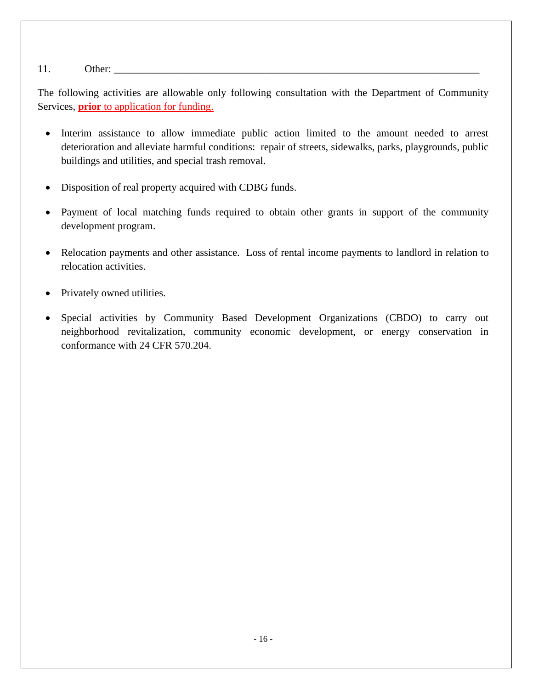#### 11. Other: \_\_\_\_\_\_\_\_\_\_\_\_\_\_\_\_\_\_\_\_\_\_\_\_\_\_\_\_\_\_\_\_\_\_\_\_\_\_\_\_\_\_\_\_\_\_\_\_\_\_\_\_\_\_\_\_\_\_\_\_\_\_\_\_\_\_\_\_\_\_

The following activities are allowable only following consultation with the Department of Community Services, **prior** to application for funding.

- Interim assistance to allow immediate public action limited to the amount needed to arrest deterioration and alleviate harmful conditions: repair of streets, sidewalks, parks, playgrounds, public buildings and utilities, and special trash removal.
- Disposition of real property acquired with CDBG funds.
- Payment of local matching funds required to obtain other grants in support of the community development program.
- Relocation payments and other assistance. Loss of rental income payments to landlord in relation to relocation activities.
- Privately owned utilities.
- Special activities by Community Based Development Organizations (CBDO) to carry out neighborhood revitalization, community economic development, or energy conservation in conformance with 24 CFR 570.204.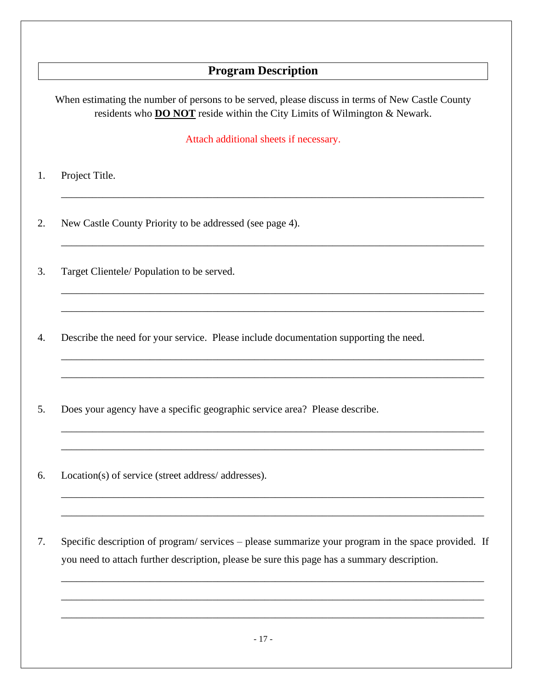### **Program Description**

When estimating the number of persons to be served, please discuss in terms of New Castle County residents who **DO NOT** reside within the City Limits of Wilmington & Newark.

Attach additional sheets if necessary.

\_\_\_\_\_\_\_\_\_\_\_\_\_\_\_\_\_\_\_\_\_\_\_\_\_\_\_\_\_\_\_\_\_\_\_\_\_\_\_\_\_\_\_\_\_\_\_\_\_\_\_\_\_\_\_\_\_\_\_\_\_\_\_\_\_\_\_\_\_\_\_\_\_\_\_\_\_\_\_\_\_

\_\_\_\_\_\_\_\_\_\_\_\_\_\_\_\_\_\_\_\_\_\_\_\_\_\_\_\_\_\_\_\_\_\_\_\_\_\_\_\_\_\_\_\_\_\_\_\_\_\_\_\_\_\_\_\_\_\_\_\_\_\_\_\_\_\_\_\_\_\_\_\_\_\_\_\_\_\_\_\_\_

\_\_\_\_\_\_\_\_\_\_\_\_\_\_\_\_\_\_\_\_\_\_\_\_\_\_\_\_\_\_\_\_\_\_\_\_\_\_\_\_\_\_\_\_\_\_\_\_\_\_\_\_\_\_\_\_\_\_\_\_\_\_\_\_\_\_\_\_\_\_\_\_\_\_\_\_\_\_\_\_\_

\_\_\_\_\_\_\_\_\_\_\_\_\_\_\_\_\_\_\_\_\_\_\_\_\_\_\_\_\_\_\_\_\_\_\_\_\_\_\_\_\_\_\_\_\_\_\_\_\_\_\_\_\_\_\_\_\_\_\_\_\_\_\_\_\_\_\_\_\_\_\_\_\_\_\_\_\_\_\_\_\_

\_\_\_\_\_\_\_\_\_\_\_\_\_\_\_\_\_\_\_\_\_\_\_\_\_\_\_\_\_\_\_\_\_\_\_\_\_\_\_\_\_\_\_\_\_\_\_\_\_\_\_\_\_\_\_\_\_\_\_\_\_\_\_\_\_\_\_\_\_\_\_\_\_\_\_\_\_\_\_\_\_

\_\_\_\_\_\_\_\_\_\_\_\_\_\_\_\_\_\_\_\_\_\_\_\_\_\_\_\_\_\_\_\_\_\_\_\_\_\_\_\_\_\_\_\_\_\_\_\_\_\_\_\_\_\_\_\_\_\_\_\_\_\_\_\_\_\_\_\_\_\_\_\_\_\_\_\_\_\_\_\_\_

\_\_\_\_\_\_\_\_\_\_\_\_\_\_\_\_\_\_\_\_\_\_\_\_\_\_\_\_\_\_\_\_\_\_\_\_\_\_\_\_\_\_\_\_\_\_\_\_\_\_\_\_\_\_\_\_\_\_\_\_\_\_\_\_\_\_\_\_\_\_\_\_\_\_\_\_\_\_\_\_\_

\_\_\_\_\_\_\_\_\_\_\_\_\_\_\_\_\_\_\_\_\_\_\_\_\_\_\_\_\_\_\_\_\_\_\_\_\_\_\_\_\_\_\_\_\_\_\_\_\_\_\_\_\_\_\_\_\_\_\_\_\_\_\_\_\_\_\_\_\_\_\_\_\_\_\_\_\_\_\_\_\_

\_\_\_\_\_\_\_\_\_\_\_\_\_\_\_\_\_\_\_\_\_\_\_\_\_\_\_\_\_\_\_\_\_\_\_\_\_\_\_\_\_\_\_\_\_\_\_\_\_\_\_\_\_\_\_\_\_\_\_\_\_\_\_\_\_\_\_\_\_\_\_\_\_\_\_\_\_\_\_\_\_

\_\_\_\_\_\_\_\_\_\_\_\_\_\_\_\_\_\_\_\_\_\_\_\_\_\_\_\_\_\_\_\_\_\_\_\_\_\_\_\_\_\_\_\_\_\_\_\_\_\_\_\_\_\_\_\_\_\_\_\_\_\_\_\_\_\_\_\_\_\_\_\_\_\_\_\_\_\_\_\_\_

\_\_\_\_\_\_\_\_\_\_\_\_\_\_\_\_\_\_\_\_\_\_\_\_\_\_\_\_\_\_\_\_\_\_\_\_\_\_\_\_\_\_\_\_\_\_\_\_\_\_\_\_\_\_\_\_\_\_\_\_\_\_\_\_\_\_\_\_\_\_\_\_\_\_\_\_\_\_\_\_\_

\_\_\_\_\_\_\_\_\_\_\_\_\_\_\_\_\_\_\_\_\_\_\_\_\_\_\_\_\_\_\_\_\_\_\_\_\_\_\_\_\_\_\_\_\_\_\_\_\_\_\_\_\_\_\_\_\_\_\_\_\_\_\_\_\_\_\_\_\_\_\_\_\_\_\_\_\_\_\_\_\_

\_\_\_\_\_\_\_\_\_\_\_\_\_\_\_\_\_\_\_\_\_\_\_\_\_\_\_\_\_\_\_\_\_\_\_\_\_\_\_\_\_\_\_\_\_\_\_\_\_\_\_\_\_\_\_\_\_\_\_\_\_\_\_\_\_\_\_\_\_\_\_\_\_\_\_\_\_\_\_\_\_

- 1. Project Title.
- 2. New Castle County Priority to be addressed (see page 4).
- 3. Target Clientele/ Population to be served.

4. Describe the need for your service. Please include documentation supporting the need.

- 5. Does your agency have a specific geographic service area? Please describe.
- 6. Location(s) of service (street address/ addresses).
- 7. Specific description of program/ services please summarize your program in the space provided. If you need to attach further description, please be sure this page has a summary description.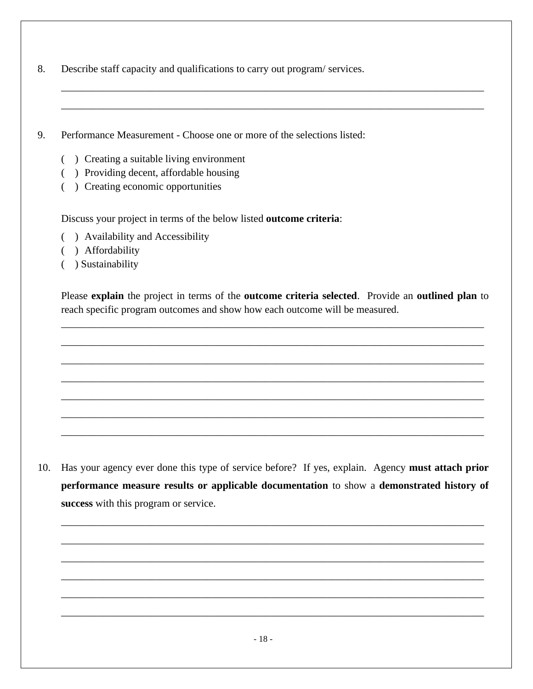- 8. Describe staff capacity and qualifications to carry out program/ services.
- 9. Performance Measurement Choose one or more of the selections listed:
	- ( ) Creating a suitable living environment
	- ( ) Providing decent, affordable housing
	- ( ) Creating economic opportunities

Discuss your project in terms of the below listed **outcome criteria**:

- ( ) Availability and Accessibility
- ( ) Affordability
- ( ) Sustainability

Please **explain** the project in terms of the **outcome criteria selected**. Provide an **outlined plan** to reach specific program outcomes and show how each outcome will be measured.

\_\_\_\_\_\_\_\_\_\_\_\_\_\_\_\_\_\_\_\_\_\_\_\_\_\_\_\_\_\_\_\_\_\_\_\_\_\_\_\_\_\_\_\_\_\_\_\_\_\_\_\_\_\_\_\_\_\_\_\_\_\_\_\_\_\_\_\_\_\_\_\_\_\_\_\_\_\_\_\_\_

\_\_\_\_\_\_\_\_\_\_\_\_\_\_\_\_\_\_\_\_\_\_\_\_\_\_\_\_\_\_\_\_\_\_\_\_\_\_\_\_\_\_\_\_\_\_\_\_\_\_\_\_\_\_\_\_\_\_\_\_\_\_\_\_\_\_\_\_\_\_\_\_\_\_\_\_\_\_\_\_\_

\_\_\_\_\_\_\_\_\_\_\_\_\_\_\_\_\_\_\_\_\_\_\_\_\_\_\_\_\_\_\_\_\_\_\_\_\_\_\_\_\_\_\_\_\_\_\_\_\_\_\_\_\_\_\_\_\_\_\_\_\_\_\_\_\_\_\_\_\_\_\_\_\_\_\_\_\_\_\_\_\_

\_\_\_\_\_\_\_\_\_\_\_\_\_\_\_\_\_\_\_\_\_\_\_\_\_\_\_\_\_\_\_\_\_\_\_\_\_\_\_\_\_\_\_\_\_\_\_\_\_\_\_\_\_\_\_\_\_\_\_\_\_\_\_\_\_\_\_\_\_\_\_\_\_\_\_\_\_\_\_\_\_

\_\_\_\_\_\_\_\_\_\_\_\_\_\_\_\_\_\_\_\_\_\_\_\_\_\_\_\_\_\_\_\_\_\_\_\_\_\_\_\_\_\_\_\_\_\_\_\_\_\_\_\_\_\_\_\_\_\_\_\_\_\_\_\_\_\_\_\_\_\_\_\_\_\_\_\_\_\_\_\_\_

\_\_\_\_\_\_\_\_\_\_\_\_\_\_\_\_\_\_\_\_\_\_\_\_\_\_\_\_\_\_\_\_\_\_\_\_\_\_\_\_\_\_\_\_\_\_\_\_\_\_\_\_\_\_\_\_\_\_\_\_\_\_\_\_\_\_\_\_\_\_\_\_\_\_\_\_\_\_\_\_\_

\_\_\_\_\_\_\_\_\_\_\_\_\_\_\_\_\_\_\_\_\_\_\_\_\_\_\_\_\_\_\_\_\_\_\_\_\_\_\_\_\_\_\_\_\_\_\_\_\_\_\_\_\_\_\_\_\_\_\_\_\_\_\_\_\_\_\_\_\_\_\_\_\_\_\_\_\_\_\_\_\_

\_\_\_\_\_\_\_\_\_\_\_\_\_\_\_\_\_\_\_\_\_\_\_\_\_\_\_\_\_\_\_\_\_\_\_\_\_\_\_\_\_\_\_\_\_\_\_\_\_\_\_\_\_\_\_\_\_\_\_\_\_\_\_\_\_\_\_\_\_\_\_\_\_\_\_\_\_\_\_\_\_

\_\_\_\_\_\_\_\_\_\_\_\_\_\_\_\_\_\_\_\_\_\_\_\_\_\_\_\_\_\_\_\_\_\_\_\_\_\_\_\_\_\_\_\_\_\_\_\_\_\_\_\_\_\_\_\_\_\_\_\_\_\_\_\_\_\_\_\_\_\_\_\_\_\_\_\_\_\_\_\_\_

10. Has your agency ever done this type of service before? If yes, explain. Agency **must attach prior performance measure results or applicable documentation** to show a **demonstrated history of success** with this program or service.

\_\_\_\_\_\_\_\_\_\_\_\_\_\_\_\_\_\_\_\_\_\_\_\_\_\_\_\_\_\_\_\_\_\_\_\_\_\_\_\_\_\_\_\_\_\_\_\_\_\_\_\_\_\_\_\_\_\_\_\_\_\_\_\_\_\_\_\_\_\_\_\_\_\_\_\_\_\_\_\_\_

\_\_\_\_\_\_\_\_\_\_\_\_\_\_\_\_\_\_\_\_\_\_\_\_\_\_\_\_\_\_\_\_\_\_\_\_\_\_\_\_\_\_\_\_\_\_\_\_\_\_\_\_\_\_\_\_\_\_\_\_\_\_\_\_\_\_\_\_\_\_\_\_\_\_\_\_\_\_\_\_\_

\_\_\_\_\_\_\_\_\_\_\_\_\_\_\_\_\_\_\_\_\_\_\_\_\_\_\_\_\_\_\_\_\_\_\_\_\_\_\_\_\_\_\_\_\_\_\_\_\_\_\_\_\_\_\_\_\_\_\_\_\_\_\_\_\_\_\_\_\_\_\_\_\_\_\_\_\_\_\_\_\_

\_\_\_\_\_\_\_\_\_\_\_\_\_\_\_\_\_\_\_\_\_\_\_\_\_\_\_\_\_\_\_\_\_\_\_\_\_\_\_\_\_\_\_\_\_\_\_\_\_\_\_\_\_\_\_\_\_\_\_\_\_\_\_\_\_\_\_\_\_\_\_\_\_\_\_\_\_\_\_\_\_

\_\_\_\_\_\_\_\_\_\_\_\_\_\_\_\_\_\_\_\_\_\_\_\_\_\_\_\_\_\_\_\_\_\_\_\_\_\_\_\_\_\_\_\_\_\_\_\_\_\_\_\_\_\_\_\_\_\_\_\_\_\_\_\_\_\_\_\_\_\_\_\_\_\_\_\_\_\_\_\_\_

\_\_\_\_\_\_\_\_\_\_\_\_\_\_\_\_\_\_\_\_\_\_\_\_\_\_\_\_\_\_\_\_\_\_\_\_\_\_\_\_\_\_\_\_\_\_\_\_\_\_\_\_\_\_\_\_\_\_\_\_\_\_\_\_\_\_\_\_\_\_\_\_\_\_\_\_\_\_\_\_\_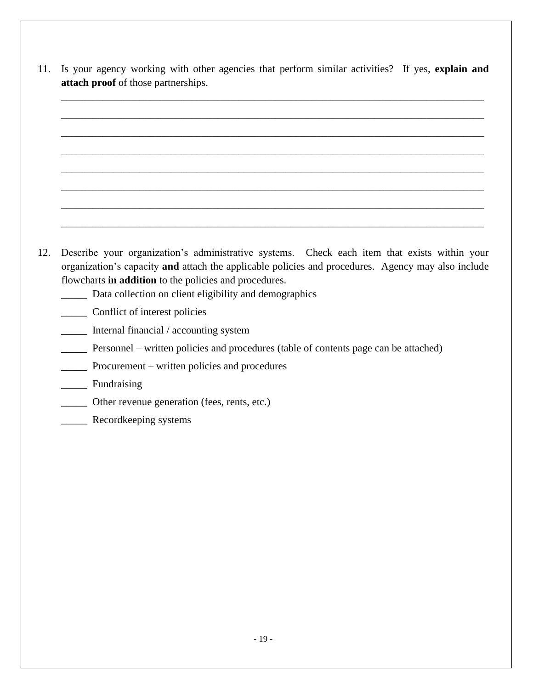11. Is your agency working with other agencies that perform similar activities? If yes, **explain and attach proof** of those partnerships.

\_\_\_\_\_\_\_\_\_\_\_\_\_\_\_\_\_\_\_\_\_\_\_\_\_\_\_\_\_\_\_\_\_\_\_\_\_\_\_\_\_\_\_\_\_\_\_\_\_\_\_\_\_\_\_\_\_\_\_\_\_\_\_\_\_\_\_\_\_\_\_\_\_\_\_\_\_\_\_\_\_

\_\_\_\_\_\_\_\_\_\_\_\_\_\_\_\_\_\_\_\_\_\_\_\_\_\_\_\_\_\_\_\_\_\_\_\_\_\_\_\_\_\_\_\_\_\_\_\_\_\_\_\_\_\_\_\_\_\_\_\_\_\_\_\_\_\_\_\_\_\_\_\_\_\_\_\_\_\_\_\_\_

\_\_\_\_\_\_\_\_\_\_\_\_\_\_\_\_\_\_\_\_\_\_\_\_\_\_\_\_\_\_\_\_\_\_\_\_\_\_\_\_\_\_\_\_\_\_\_\_\_\_\_\_\_\_\_\_\_\_\_\_\_\_\_\_\_\_\_\_\_\_\_\_\_\_\_\_\_\_\_\_\_

\_\_\_\_\_\_\_\_\_\_\_\_\_\_\_\_\_\_\_\_\_\_\_\_\_\_\_\_\_\_\_\_\_\_\_\_\_\_\_\_\_\_\_\_\_\_\_\_\_\_\_\_\_\_\_\_\_\_\_\_\_\_\_\_\_\_\_\_\_\_\_\_\_\_\_\_\_\_\_\_\_

\_\_\_\_\_\_\_\_\_\_\_\_\_\_\_\_\_\_\_\_\_\_\_\_\_\_\_\_\_\_\_\_\_\_\_\_\_\_\_\_\_\_\_\_\_\_\_\_\_\_\_\_\_\_\_\_\_\_\_\_\_\_\_\_\_\_\_\_\_\_\_\_\_\_\_\_\_\_\_\_\_

\_\_\_\_\_\_\_\_\_\_\_\_\_\_\_\_\_\_\_\_\_\_\_\_\_\_\_\_\_\_\_\_\_\_\_\_\_\_\_\_\_\_\_\_\_\_\_\_\_\_\_\_\_\_\_\_\_\_\_\_\_\_\_\_\_\_\_\_\_\_\_\_\_\_\_\_\_\_\_\_\_

\_\_\_\_\_\_\_\_\_\_\_\_\_\_\_\_\_\_\_\_\_\_\_\_\_\_\_\_\_\_\_\_\_\_\_\_\_\_\_\_\_\_\_\_\_\_\_\_\_\_\_\_\_\_\_\_\_\_\_\_\_\_\_\_\_\_\_\_\_\_\_\_\_\_\_\_\_\_\_\_\_

- \_\_\_\_\_\_\_\_\_\_\_\_\_\_\_\_\_\_\_\_\_\_\_\_\_\_\_\_\_\_\_\_\_\_\_\_\_\_\_\_\_\_\_\_\_\_\_\_\_\_\_\_\_\_\_\_\_\_\_\_\_\_\_\_\_\_\_\_\_\_\_\_\_\_\_\_\_\_\_\_\_ 12. Describe your organization's administrative systems. Check each item that exists within your organization's capacity **and** attach the applicable policies and procedures. Agency may also include flowcharts **in addition** to the policies and procedures.
	- \_\_\_\_\_ Data collection on client eligibility and demographics
	- \_\_\_\_\_ Conflict of interest policies
	- \_\_\_\_\_ Internal financial / accounting system
	- \_\_\_\_\_ Personnel written policies and procedures (table of contents page can be attached)
	- \_\_\_\_\_ Procurement written policies and procedures
	- \_\_\_\_\_ Fundraising
	- \_\_\_\_\_ Other revenue generation (fees, rents, etc.)
	- \_\_\_\_\_ Recordkeeping systems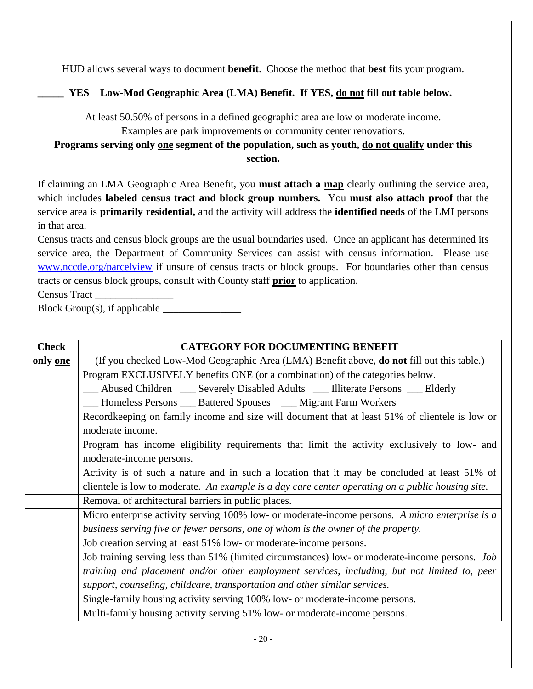HUD allows several ways to document **benefit**. Choose the method that **best** fits your program.

### **\_\_\_\_\_ YES Low-Mod Geographic Area (LMA) Benefit. If YES, do not fill out table below.**

At least 50.50% of persons in a defined geographic area are low or moderate income.

Examples are park improvements or community center renovations.

**Programs serving only one segment of the population, such as youth, do not qualify under this section.**

If claiming an LMA Geographic Area Benefit, you **must attach a map** clearly outlining the service area, which includes **labeled census tract and block group numbers.** You **must also attach proof** that the service area is **primarily residential,** and the activity will address the **identified needs** of the LMI persons in that area.

Census tracts and census block groups are the usual boundaries used. Once an applicant has determined its service area, the Department of Community Services can assist with census information. Please use [www.nccde.org/parcelview](http://www.nccde.org/parcelview) if unsure of census tracts or block groups. For boundaries other than census tracts or census block groups, consult with County staff **prior** to application.

Census Tract \_\_\_\_\_\_\_\_\_\_\_\_\_\_\_

Block Group(s), if applicable  $\_\_\_\_\_\_\_\_\_\_\_\_\_\_\_\_\_\_$ 

| <b>Check</b> | <b>CATEGORY FOR DOCUMENTING BENEFIT</b>                                                           |  |  |
|--------------|---------------------------------------------------------------------------------------------------|--|--|
| only one     | (If you checked Low-Mod Geographic Area (LMA) Benefit above, do not fill out this table.)         |  |  |
|              | Program EXCLUSIVELY benefits ONE (or a combination) of the categories below.                      |  |  |
|              | Abused Children __ Severely Disabled Adults __ Illiterate Persons __ Elderly                      |  |  |
|              | Homeless Persons ____ Battered Spouses ____ Migrant Farm Workers                                  |  |  |
|              | Recordkeeping on family income and size will document that at least 51% of clientele is low or    |  |  |
|              | moderate income.                                                                                  |  |  |
|              | Program has income eligibility requirements that limit the activity exclusively to low- and       |  |  |
|              | moderate-income persons.                                                                          |  |  |
|              | Activity is of such a nature and in such a location that it may be concluded at least 51% of      |  |  |
|              | clientele is low to moderate. An example is a day care center operating on a public housing site. |  |  |
|              | Removal of architectural barriers in public places.                                               |  |  |
|              | Micro enterprise activity serving 100% low- or moderate-income persons. A micro enterprise is a   |  |  |
|              | business serving five or fewer persons, one of whom is the owner of the property.                 |  |  |
|              | Job creation serving at least 51% low- or moderate-income persons.                                |  |  |
|              | Job training serving less than 51% (limited circumstances) low- or moderate-income persons. Job   |  |  |
|              | training and placement and/or other employment services, including, but not limited to, peer      |  |  |
|              | support, counseling, childcare, transportation and other similar services.                        |  |  |
|              | Single-family housing activity serving 100% low- or moderate-income persons.                      |  |  |
|              | Multi-family housing activity serving 51% low- or moderate-income persons.                        |  |  |
|              |                                                                                                   |  |  |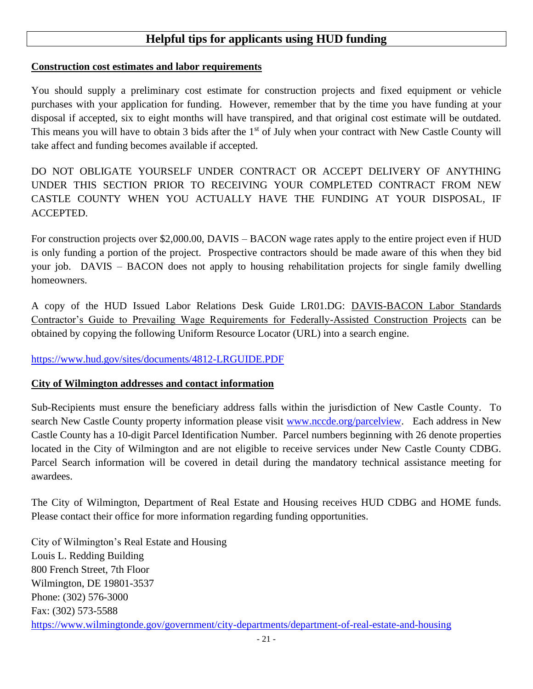### **Helpful tips for applicants using HUD funding**

#### **Construction cost estimates and labor requirements**

You should supply a preliminary cost estimate for construction projects and fixed equipment or vehicle purchases with your application for funding. However, remember that by the time you have funding at your disposal if accepted, six to eight months will have transpired, and that original cost estimate will be outdated. This means you will have to obtain 3 bids after the 1<sup>st</sup> of July when your contract with New Castle County will take affect and funding becomes available if accepted.

DO NOT OBLIGATE YOURSELF UNDER CONTRACT OR ACCEPT DELIVERY OF ANYTHING UNDER THIS SECTION PRIOR TO RECEIVING YOUR COMPLETED CONTRACT FROM NEW CASTLE COUNTY WHEN YOU ACTUALLY HAVE THE FUNDING AT YOUR DISPOSAL, IF ACCEPTED.

For construction projects over \$2,000.00, DAVIS – BACON wage rates apply to the entire project even if HUD is only funding a portion of the project. Prospective contractors should be made aware of this when they bid your job. DAVIS – BACON does not apply to housing rehabilitation projects for single family dwelling homeowners.

A copy of the HUD Issued Labor Relations Desk Guide LR01.DG: DAVIS-BACON Labor Standards Contractor's Guide to Prevailing Wage Requirements for Federally-Assisted Construction Projects can be obtained by copying the following Uniform Resource Locator (URL) into a search engine.

<https://www.hud.gov/sites/documents/4812-LRGUIDE.PDF>

#### **City of Wilmington addresses and contact information**

Sub-Recipients must ensure the beneficiary address falls within the jurisdiction of New Castle County. To search New Castle County property information please visit [www.nccde.org/parcelview.](http://www.nccde.org/parcelview) Each address in New Castle County has a 10-digit Parcel Identification Number. Parcel numbers beginning with 26 denote properties located in the City of Wilmington and are not eligible to receive services under New Castle County CDBG. Parcel Search information will be covered in detail during the mandatory technical assistance meeting for awardees.

The City of Wilmington, Department of Real Estate and Housing receives HUD CDBG and HOME funds. Please contact their office for more information regarding funding opportunities.

City of Wilmington's Real Estate and Housing Louis L. Redding Building 800 French Street, 7th Floor Wilmington, DE 19801-3537 Phone: (302) 576-3000 Fax: (302) 573-5588 <https://www.wilmingtonde.gov/government/city-departments/department-of-real-estate-and-housing>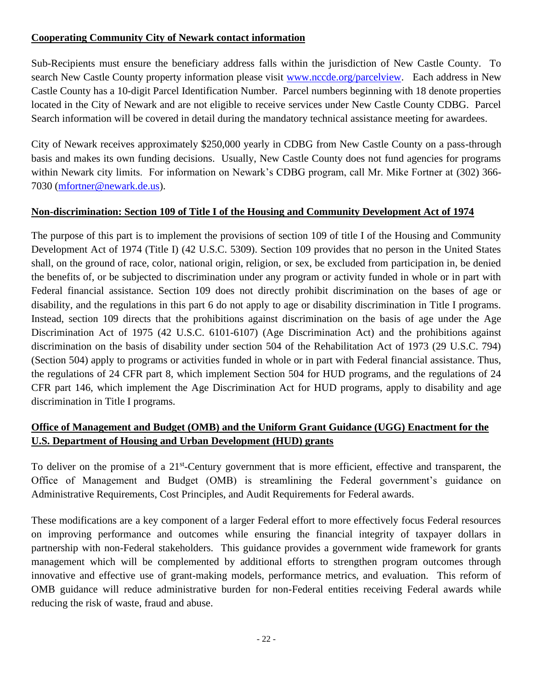#### **Cooperating Community City of Newark contact information**

Sub-Recipients must ensure the beneficiary address falls within the jurisdiction of New Castle County. To search New Castle County property information please visit [www.nccde.org/parcelview.](http://www.nccde.org/parcelview) Each address in New Castle County has a 10-digit Parcel Identification Number. Parcel numbers beginning with 18 denote properties located in the City of Newark and are not eligible to receive services under New Castle County CDBG. Parcel Search information will be covered in detail during the mandatory technical assistance meeting for awardees.

City of Newark receives approximately \$250,000 yearly in CDBG from New Castle County on a pass-through basis and makes its own funding decisions. Usually, New Castle County does not fund agencies for programs within Newark city limits. For information on Newark's CDBG program, call Mr. Mike Fortner at (302) 366- 7030 [\(mfortner@newark.de.us\)](mailto:mfortner@newark.de.us).

#### **Non-discrimination: Section 109 of Title I of the Housing and Community Development Act of 1974**

The purpose of this part is to implement the provisions of section 109 of title I of the Housing and Community Development Act of 1974 (Title I) (42 U.S.C. 5309). Section 109 provides that no person in the United States shall, on the ground of race, color, national origin, religion, or sex, be excluded from participation in, be denied the benefits of, or be subjected to discrimination under any program or activity funded in whole or in part with Federal financial assistance. Section 109 does not directly prohibit discrimination on the bases of age or disability, and the regulations in this part 6 do not apply to age or disability discrimination in Title I programs. Instead, section 109 directs that the prohibitions against discrimination on the basis of age under the Age Discrimination Act of 1975 (42 U.S.C. 6101-6107) (Age Discrimination Act) and the prohibitions against discrimination on the basis of disability under section 504 of the Rehabilitation Act of 1973 (29 U.S.C. 794) (Section 504) apply to programs or activities funded in whole or in part with Federal financial assistance. Thus, the regulations of 24 CFR part 8, which implement Section 504 for HUD programs, and the regulations of 24 CFR part 146, which implement the Age Discrimination Act for HUD programs, apply to disability and age discrimination in Title I programs.

### **Office of Management and Budget (OMB) and the Uniform Grant Guidance (UGG) Enactment for the U.S. Department of Housing and Urban Development (HUD) grants**

To deliver on the promise of a 21<sup>st</sup>-Century government that is more efficient, effective and transparent, the Office of Management and Budget (OMB) is streamlining the Federal government's guidance on Administrative Requirements, Cost Principles, and Audit Requirements for Federal awards.

These modifications are a key component of a larger Federal effort to more effectively focus Federal resources on improving performance and outcomes while ensuring the financial integrity of taxpayer dollars in partnership with non-Federal stakeholders. This guidance provides a government wide framework for grants management which will be complemented by additional efforts to strengthen program outcomes through innovative and effective use of grant-making models, performance metrics, and evaluation. This reform of OMB guidance will reduce administrative burden for non-Federal entities receiving Federal awards while reducing the risk of waste, fraud and abuse.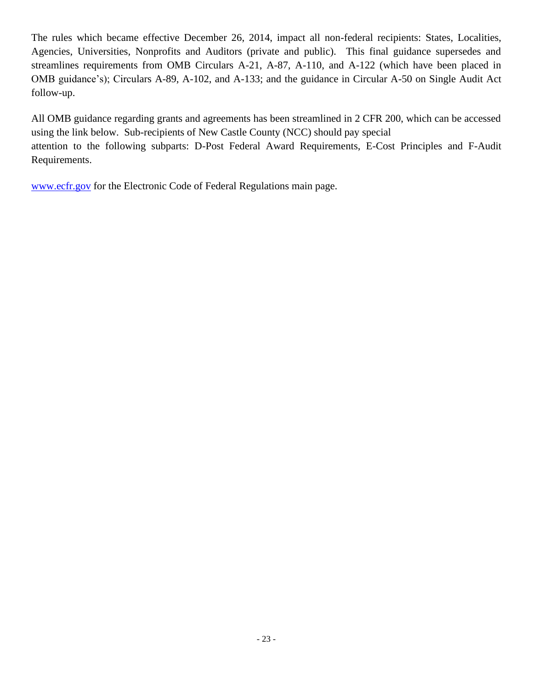The rules which became effective December 26, 2014, impact all non-federal recipients: States, Localities, Agencies, Universities, Nonprofits and Auditors (private and public). This final guidance supersedes and streamlines requirements from OMB Circulars A-21, A-87, A-110, and A-122 (which have been placed in OMB guidance's); Circulars A-89, A-102, and A-133; and the guidance in Circular A-50 on Single Audit Act follow-up.

All OMB guidance regarding grants and agreements has been streamlined in 2 CFR 200, which can be accessed using the link below. Sub-recipients of New Castle County (NCC) should pay special attention to the following subparts: D-Post Federal Award Requirements, E-Cost Principles and F-Audit Requirements.

[www.ecfr.gov](http://www.ecfr.gov/) for the Electronic Code of Federal Regulations main page.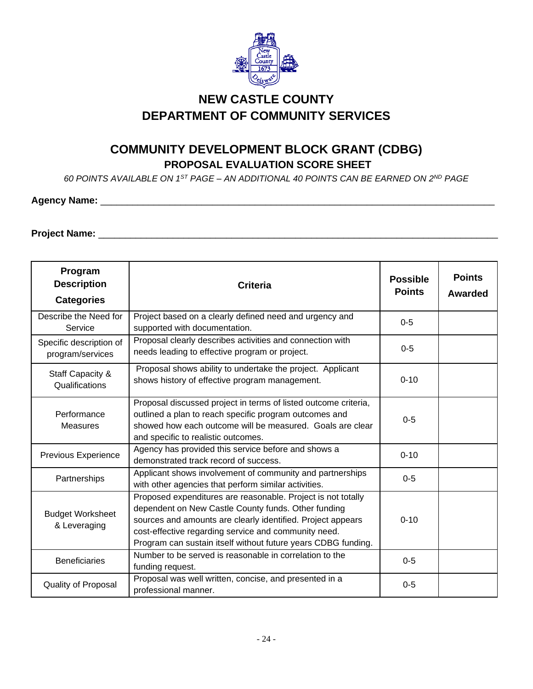

# **NEW CASTLE COUNTY DEPARTMENT OF COMMUNITY SERVICES**

## **COMMUNITY DEVELOPMENT BLOCK GRANT (CDBG) PROPOSAL EVALUATION SCORE SHEET**

*60 POINTS AVAILABLE ON 1ST PAGE – AN ADDITIONAL 40 POINTS CAN BE EARNED ON 2ND PAGE* 

#### **Agency Name:** \_\_\_\_\_\_\_\_\_\_\_\_\_\_\_\_\_\_\_\_\_\_\_\_\_\_\_\_\_\_\_\_\_\_\_\_\_\_\_\_\_\_\_\_\_\_\_\_\_\_\_\_\_\_\_\_\_\_\_\_\_\_\_\_\_\_\_\_\_\_\_\_\_\_

# **Project Name:** \_\_\_\_\_\_\_\_\_\_\_\_\_\_\_\_\_\_\_\_\_\_\_\_\_\_\_\_\_\_\_\_\_\_\_\_\_\_\_\_\_\_\_\_\_\_\_\_\_\_\_\_\_\_\_\_\_\_\_\_\_\_\_\_\_\_\_\_\_\_\_\_\_\_\_

| Program<br><b>Description</b><br><b>Categories</b> | <b>Criteria</b>                                                                                                                                                                                                                                                                                             | <b>Possible</b><br><b>Points</b> | <b>Points</b><br>Awarded |
|----------------------------------------------------|-------------------------------------------------------------------------------------------------------------------------------------------------------------------------------------------------------------------------------------------------------------------------------------------------------------|----------------------------------|--------------------------|
| Describe the Need for<br>Service                   | Project based on a clearly defined need and urgency and<br>supported with documentation.                                                                                                                                                                                                                    | $0 - 5$                          |                          |
| Specific description of<br>program/services        | Proposal clearly describes activities and connection with<br>needs leading to effective program or project.                                                                                                                                                                                                 | $0 - 5$                          |                          |
| Staff Capacity &<br>Qualifications                 | Proposal shows ability to undertake the project. Applicant<br>shows history of effective program management.                                                                                                                                                                                                | $0 - 10$                         |                          |
| Performance<br>Measures                            | Proposal discussed project in terms of listed outcome criteria,<br>outlined a plan to reach specific program outcomes and<br>showed how each outcome will be measured. Goals are clear<br>and specific to realistic outcomes.                                                                               | $0-5$                            |                          |
| Previous Experience                                | Agency has provided this service before and shows a<br>demonstrated track record of success.                                                                                                                                                                                                                | $0 - 10$                         |                          |
| Partnerships                                       | Applicant shows involvement of community and partnerships<br>with other agencies that perform similar activities.                                                                                                                                                                                           | $0 - 5$                          |                          |
| <b>Budget Worksheet</b><br>& Leveraging            | Proposed expenditures are reasonable. Project is not totally<br>dependent on New Castle County funds. Other funding<br>sources and amounts are clearly identified. Project appears<br>cost-effective regarding service and community need.<br>Program can sustain itself without future years CDBG funding. | $0 - 10$                         |                          |
| <b>Beneficiaries</b>                               | Number to be served is reasonable in correlation to the<br>funding request.                                                                                                                                                                                                                                 | $0-5$                            |                          |
| Quality of Proposal                                | Proposal was well written, concise, and presented in a<br>professional manner.                                                                                                                                                                                                                              | $0-5$                            |                          |